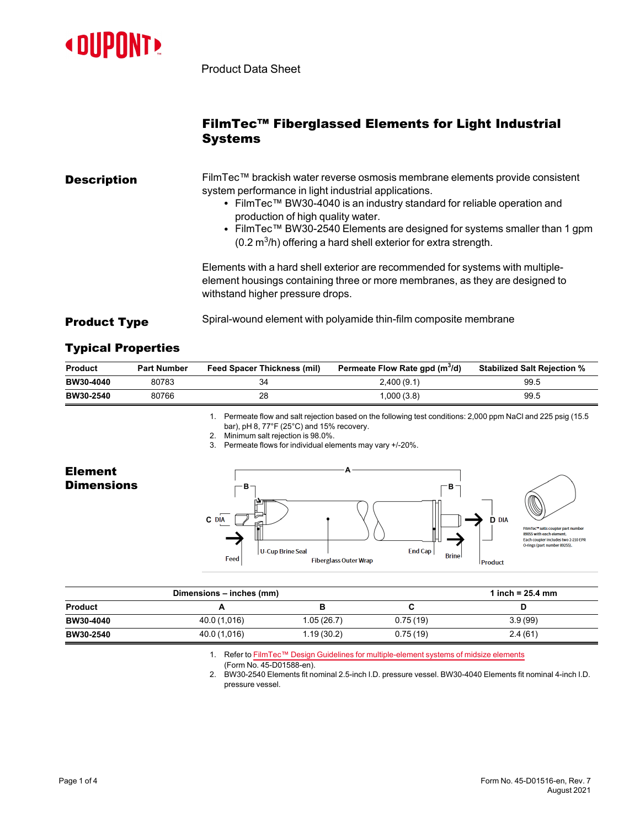

Product Data Sheet

## FilmTec™ Fiberglassed Elements for Light Industrial **Systems**

| <b>Description</b> | FilmTec™ brackish water reverse osmosis membrane elements provide consistent<br>system performance in light industrial applications.<br>• FilmTec™ BW30-4040 is an industry standard for reliable operation and<br>production of high quality water.<br>• FilmTec™ BW30-2540 Elements are designed for systems smaller than 1 gpm<br>$(0.2 \text{ m}^3/\text{h})$ offering a hard shell exterior for extra strength. |
|--------------------|----------------------------------------------------------------------------------------------------------------------------------------------------------------------------------------------------------------------------------------------------------------------------------------------------------------------------------------------------------------------------------------------------------------------|
|                    | Elements with a hard shell exterior are recommended for systems with multiple-<br>element housings containing three or more membranes, as they are designed to<br>withstand higher pressure drops.                                                                                                                                                                                                                   |

## **Product Type** Spiral-wound element with polyamide thin-film composite membrane

## Typical Properties

Element **Dimensions** 

| Product          | <b>Part Number</b> | <b>Feed Spacer Thickness (mil)</b> | Permeate Flow Rate gpd (m <sup>3</sup> /d) | <b>Stabilized Salt Rejection %</b> |
|------------------|--------------------|------------------------------------|--------------------------------------------|------------------------------------|
| BW30-4040        | 80783              | 34                                 | 2,400(9.1)                                 | 99.5                               |
| <b>BW30-2540</b> | 80766              | 28                                 | 000(3.8)                                   | 99.5                               |

1. Permeate flow and salt rejection based on the following test conditions: 2,000 ppm NaCl and 225 psig (15.5 bar), pH 8, 77°F (25°C) and 15% recovery.

- 2. Minimum salt rejection is 98.0%.
- 3. Permeate flows for individual elements may vary +/-20%.



| Dimensions - inches (mm) |              | 1 inch = $25.4 \, \text{mm}$ |          |         |
|--------------------------|--------------|------------------------------|----------|---------|
| <b>Product</b>           |              |                              |          |         |
| <b>BW30-4040</b>         | 40.0 (1,016) | 1.05(26.7)                   | 0.75(19) | 3.9(99) |
| <b>BW30-2540</b>         | 40.0 (1,016) | 1.19(30.2)                   | 0.75(19) | 2.4(61) |

1. Refer to FilmTec™ Design Guidelines for [multiple-element](https://www.dupont.com/content/dam/dupont/amer/us/en/water-solutions/public/documents/en/RO-NF-FilmTec-Membrane-Sys-Design-Guidelines-Midsize-Manual-Exc-45-D01588-en.pdf) systems of midsize elements (Form No. 45-D01588-en).

2. BW30-2540 Elements fit nominal 2.5-inch I.D. pressure vessel. BW30-4040 Elements fit nominal 4-inch I.D. pressure vessel.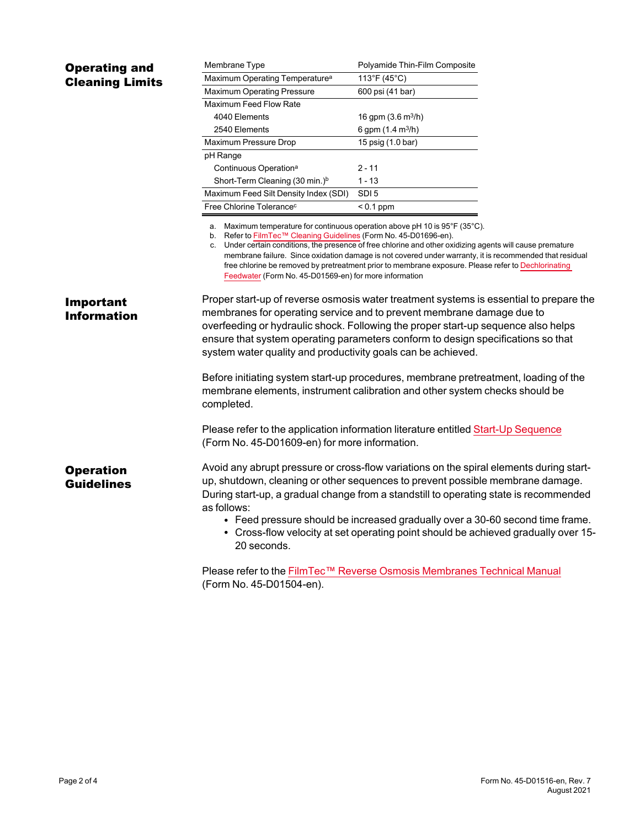| <b>Operating and</b><br><b>Cleaning Limits</b> | Membrane Type                                                                                                                                                                                                                                                                                                                                                                                                                                                                                                                                                   | Polyamide Thin-Film Composite       |  |  |
|------------------------------------------------|-----------------------------------------------------------------------------------------------------------------------------------------------------------------------------------------------------------------------------------------------------------------------------------------------------------------------------------------------------------------------------------------------------------------------------------------------------------------------------------------------------------------------------------------------------------------|-------------------------------------|--|--|
|                                                | Maximum Operating Temperature <sup>a</sup>                                                                                                                                                                                                                                                                                                                                                                                                                                                                                                                      | 113°F (45°C)                        |  |  |
|                                                | Maximum Operating Pressure                                                                                                                                                                                                                                                                                                                                                                                                                                                                                                                                      | 600 psi (41 bar)                    |  |  |
|                                                | <b>Maximum Feed Flow Rate</b>                                                                                                                                                                                                                                                                                                                                                                                                                                                                                                                                   |                                     |  |  |
|                                                | 4040 Elements                                                                                                                                                                                                                                                                                                                                                                                                                                                                                                                                                   | 16 gpm $(3.6 \text{ m}^3/\text{h})$ |  |  |
|                                                | 2540 Elements                                                                                                                                                                                                                                                                                                                                                                                                                                                                                                                                                   | 6 gpm $(1.4 \text{ m}^3/h)$         |  |  |
|                                                | Maximum Pressure Drop                                                                                                                                                                                                                                                                                                                                                                                                                                                                                                                                           | 15 psig (1.0 bar)                   |  |  |
|                                                | pH Range                                                                                                                                                                                                                                                                                                                                                                                                                                                                                                                                                        |                                     |  |  |
|                                                | Continuous Operation <sup>a</sup>                                                                                                                                                                                                                                                                                                                                                                                                                                                                                                                               | $2 - 11$                            |  |  |
|                                                | Short-Term Cleaning (30 min.) <sup>b</sup>                                                                                                                                                                                                                                                                                                                                                                                                                                                                                                                      | $1 - 13$                            |  |  |
|                                                | Maximum Feed Silt Density Index (SDI)                                                                                                                                                                                                                                                                                                                                                                                                                                                                                                                           | SDI <sub>5</sub>                    |  |  |
|                                                | Free Chlorine Tolerance <sup>c</sup>                                                                                                                                                                                                                                                                                                                                                                                                                                                                                                                            | $< 0.1$ ppm                         |  |  |
|                                                | a. Maximum temperature for continuous operation above pH 10 is $95^{\circ}$ F (35 $^{\circ}$ C).<br>b. Refer to FilmTec™ Cleaning Guidelines (Form No. 45-D01696-en).<br>c. Under certain conditions, the presence of free chlorine and other oxidizing agents will cause premature<br>membrane failure. Since oxidation damage is not covered under warranty, it is recommended that residual<br>free chlorine be removed by pretreatment prior to membrane exposure. Please refer to Dechlorinating<br>Feedwater (Form No. 45-D01569-en) for more information |                                     |  |  |
| <b>Important</b>                               | Proper start-up of reverse osmosis water treatment systems is essential to prepare the                                                                                                                                                                                                                                                                                                                                                                                                                                                                          |                                     |  |  |
| <b>Information</b>                             | membranes for operating service and to prevent membrane damage due to                                                                                                                                                                                                                                                                                                                                                                                                                                                                                           |                                     |  |  |
|                                                | overfeeding or hydraulic shock. Following the proper start-up sequence also helps                                                                                                                                                                                                                                                                                                                                                                                                                                                                               |                                     |  |  |
|                                                | ensure that system operating parameters conform to design specifications so that                                                                                                                                                                                                                                                                                                                                                                                                                                                                                |                                     |  |  |
|                                                | system water quality and productivity goals can be achieved.                                                                                                                                                                                                                                                                                                                                                                                                                                                                                                    |                                     |  |  |
|                                                | Before initiating system start-up procedures, membrane pretreatment, loading of the                                                                                                                                                                                                                                                                                                                                                                                                                                                                             |                                     |  |  |
|                                                | membrane elements, instrument calibration and other system checks should be<br>completed.                                                                                                                                                                                                                                                                                                                                                                                                                                                                       |                                     |  |  |
|                                                | Please refer to the application information literature entitled Start-Up Sequence<br>(Form No. 45-D01609-en) for more information.                                                                                                                                                                                                                                                                                                                                                                                                                              |                                     |  |  |
| <b>Operation</b><br><b>Guidelines</b>          | Avoid any abrupt pressure or cross-flow variations on the spiral elements during start-<br>up, shutdown, cleaning or other sequences to prevent possible membrane damage.<br>During start-up, a gradual change from a standstill to operating state is recommended<br>as follows:<br>• Feed pressure should be increased gradually over a 30-60 second time frame.                                                                                                                                                                                              |                                     |  |  |
|                                                | • Cross-flow velocity at set operating point should be achieved gradually over 15-<br>20 seconds.<br>Please refer to the FilmTec™ Reverse Osmosis Membranes Technical Manual                                                                                                                                                                                                                                                                                                                                                                                    |                                     |  |  |
|                                                | (Form No. 45-D01504-en).                                                                                                                                                                                                                                                                                                                                                                                                                                                                                                                                        |                                     |  |  |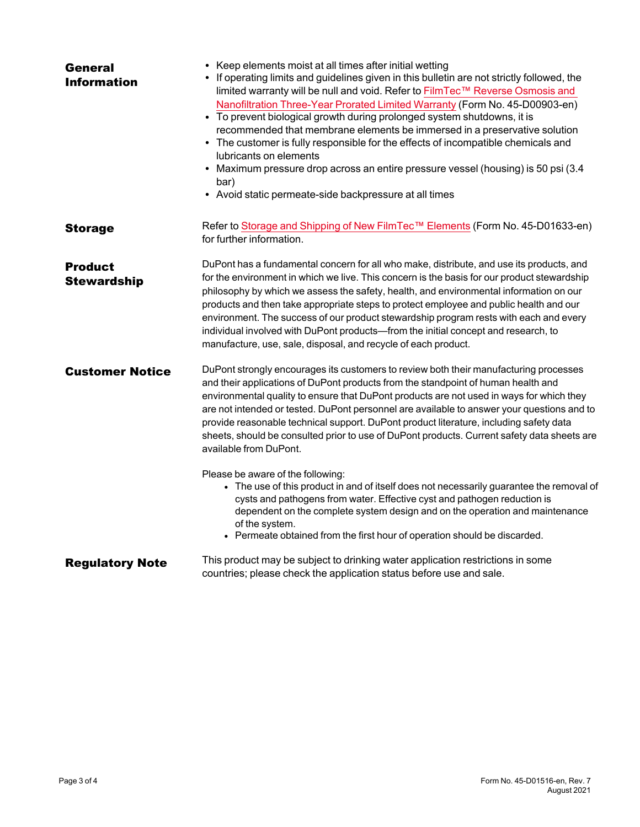| <b>General</b><br><b>Information</b> | • Keep elements moist at all times after initial wetting<br>• If operating limits and guidelines given in this bulletin are not strictly followed, the<br>limited warranty will be null and void. Refer to FilmTec™ Reverse Osmosis and<br>Nanofiltration Three-Year Prorated Limited Warranty (Form No. 45-D00903-en)<br>• To prevent biological growth during prolonged system shutdowns, it is<br>recommended that membrane elements be immersed in a preservative solution<br>• The customer is fully responsible for the effects of incompatible chemicals and<br>lubricants on elements<br>• Maximum pressure drop across an entire pressure vessel (housing) is 50 psi (3.4<br>bar)<br>• Avoid static permeate-side backpressure at all times |
|--------------------------------------|------------------------------------------------------------------------------------------------------------------------------------------------------------------------------------------------------------------------------------------------------------------------------------------------------------------------------------------------------------------------------------------------------------------------------------------------------------------------------------------------------------------------------------------------------------------------------------------------------------------------------------------------------------------------------------------------------------------------------------------------------|
| <b>Storage</b>                       | Refer to Storage and Shipping of New FilmTec™ Elements (Form No. 45-D01633-en)<br>for further information.                                                                                                                                                                                                                                                                                                                                                                                                                                                                                                                                                                                                                                           |
| <b>Product</b><br><b>Stewardship</b> | DuPont has a fundamental concern for all who make, distribute, and use its products, and<br>for the environment in which we live. This concern is the basis for our product stewardship<br>philosophy by which we assess the safety, health, and environmental information on our<br>products and then take appropriate steps to protect employee and public health and our<br>environment. The success of our product stewardship program rests with each and every<br>individual involved with DuPont products-from the initial concept and research, to<br>manufacture, use, sale, disposal, and recycle of each product.                                                                                                                         |
| <b>Customer Notice</b>               | DuPont strongly encourages its customers to review both their manufacturing processes<br>and their applications of DuPont products from the standpoint of human health and<br>environmental quality to ensure that DuPont products are not used in ways for which they<br>are not intended or tested. DuPont personnel are available to answer your questions and to<br>provide reasonable technical support. DuPont product literature, including safety data<br>sheets, should be consulted prior to use of DuPont products. Current safety data sheets are<br>available from DuPont.                                                                                                                                                              |
|                                      | Please be aware of the following:<br>• The use of this product in and of itself does not necessarily guarantee the removal of<br>cysts and pathogens from water. Effective cyst and pathogen reduction is<br>dependent on the complete system design and on the operation and maintenance<br>of the system.<br>• Permeate obtained from the first hour of operation should be discarded.                                                                                                                                                                                                                                                                                                                                                             |
| <b>Regulatory Note</b>               | This product may be subject to drinking water application restrictions in some<br>countries; please check the application status before use and sale.                                                                                                                                                                                                                                                                                                                                                                                                                                                                                                                                                                                                |